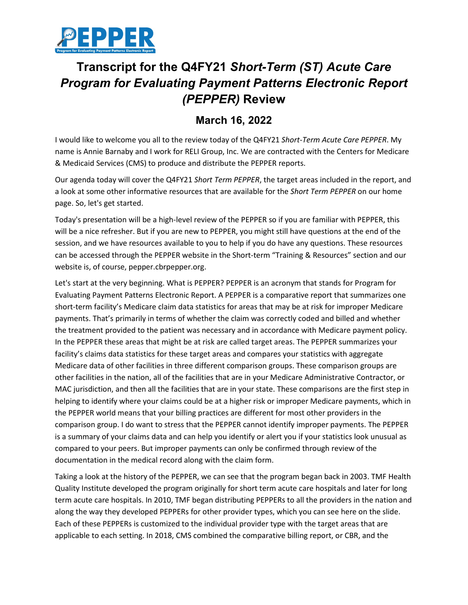

## **Transcript for the Q4FY21** *Short-Term (ST) Acute Care Program for Evaluating Payment Patterns Electronic Report (PEPPER)* **Review**

## **March 16, 2022**

I would like to welcome you all to the review today of the Q4FY21 *Short-Term Acute Care PEPPER*. My name is Annie Barnaby and I work for RELI Group, Inc. We are contracted with the Centers for Medicare & Medicaid Services (CMS) to produce and distribute the PEPPER reports.

Our agenda today will cover the Q4FY21 *Short Term PEPPER*, the target areas included in the report, and a look at some other informative resources that are available for the *Short Term PEPPER* on our home page. So, let's get started.

Today's presentation will be a high-level review of the PEPPER so if you are familiar with PEPPER, this will be a nice refresher. But if you are new to PEPPER, you might still have questions at the end of the session, and we have resources available to you to help if you do have any questions. These resources can be accessed through the PEPPER website in the Short-term "Training & Resources" section and our website is, of course, pepper.cbrpepper.org.

Let's start at the very beginning. What is PEPPER? PEPPER is an acronym that stands for Program for Evaluating Payment Patterns Electronic Report. A PEPPER is a comparative report that summarizes one short-term facility's Medicare claim data statistics for areas that may be at risk for improper Medicare payments. That's primarily in terms of whether the claim was correctly coded and billed and whether the treatment provided to the patient was necessary and in accordance with Medicare payment policy. In the PEPPER these areas that might be at risk are called target areas. The PEPPER summarizes your facility's claims data statistics for these target areas and compares your statistics with aggregate Medicare data of other facilities in three different comparison groups. These comparison groups are other facilities in the nation, all of the facilities that are in your Medicare Administrative Contractor, or MAC jurisdiction, and then all the facilities that are in your state. These comparisons are the first step in helping to identify where your claims could be at a higher risk or improper Medicare payments, which in the PEPPER world means that your billing practices are different for most other providers in the comparison group. I do want to stress that the PEPPER cannot identify improper payments. The PEPPER is a summary of your claims data and can help you identify or alert you if your statistics look unusual as compared to your peers. But improper payments can only be confirmed through review of the documentation in the medical record along with the claim form.

Taking a look at the history of the PEPPER, we can see that the program began back in 2003. TMF Health Quality Institute developed the program originally for short term acute care hospitals and later for long term acute care hospitals. In 2010, TMF began distributing PEPPERs to all the providers in the nation and along the way they developed PEPPERs for other provider types, which you can see here on the slide. Each of these PEPPERs is customized to the individual provider type with the target areas that are applicable to each setting. In 2018, CMS combined the comparative billing report, or CBR, and the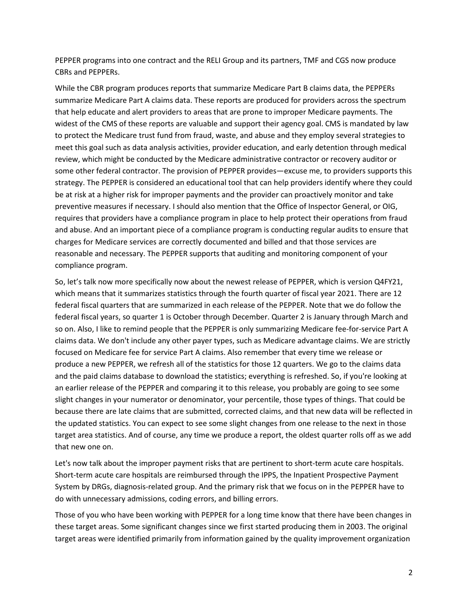PEPPER programs into one contract and the RELI Group and its partners, TMF and CGS now produce CBRs and PEPPERs.

While the CBR program produces reports that summarize Medicare Part B claims data, the PEPPERs summarize Medicare Part A claims data. These reports are produced for providers across the spectrum that help educate and alert providers to areas that are prone to improper Medicare payments. The widest of the CMS of these reports are valuable and support their agency goal. CMS is mandated by law to protect the Medicare trust fund from fraud, waste, and abuse and they employ several strategies to meet this goal such as data analysis activities, provider education, and early detention through medical review, which might be conducted by the Medicare administrative contractor or recovery auditor or some other federal contractor. The provision of PEPPER provides—excuse me, to providers supports this strategy. The PEPPER is considered an educational tool that can help providers identify where they could be at risk at a higher risk for improper payments and the provider can proactively monitor and take preventive measures if necessary. I should also mention that the Office of Inspector General, or OIG, requires that providers have a compliance program in place to help protect their operations from fraud and abuse. And an important piece of a compliance program is conducting regular audits to ensure that charges for Medicare services are correctly documented and billed and that those services are reasonable and necessary. The PEPPER supports that auditing and monitoring component of your compliance program.

So, let's talk now more specifically now about the newest release of PEPPER, which is version Q4FY21, which means that it summarizes statistics through the fourth quarter of fiscal year 2021. There are 12 federal fiscal quarters that are summarized in each release of the PEPPER. Note that we do follow the federal fiscal years, so quarter 1 is October through December. Quarter 2 is January through March and so on. Also, I like to remind people that the PEPPER is only summarizing Medicare fee-for-service Part A claims data. We don't include any other payer types, such as Medicare advantage claims. We are strictly focused on Medicare fee for service Part A claims. Also remember that every time we release or produce a new PEPPER, we refresh all of the statistics for those 12 quarters. We go to the claims data and the paid claims database to download the statistics; everything is refreshed. So, if you're looking at an earlier release of the PEPPER and comparing it to this release, you probably are going to see some slight changes in your numerator or denominator, your percentile, those types of things. That could be because there are late claims that are submitted, corrected claims, and that new data will be reflected in the updated statistics. You can expect to see some slight changes from one release to the next in those target area statistics. And of course, any time we produce a report, the oldest quarter rolls off as we add that new one on.

Let's now talk about the improper payment risks that are pertinent to short-term acute care hospitals. Short-term acute care hospitals are reimbursed through the IPPS, the Inpatient Prospective Payment System by DRGs, diagnosis-related group. And the primary risk that we focus on in the PEPPER have to do with unnecessary admissions, coding errors, and billing errors.

Those of you who have been working with PEPPER for a long time know that there have been changes in these target areas. Some significant changes since we first started producing them in 2003. The original target areas were identified primarily from information gained by the quality improvement organization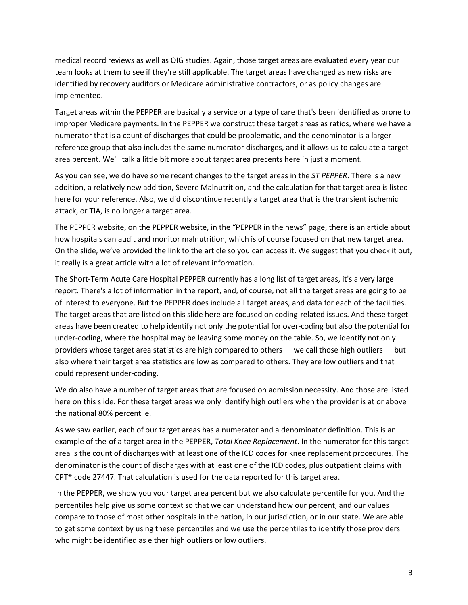medical record reviews as well as OIG studies. Again, those target areas are evaluated every year our team looks at them to see if they're still applicable. The target areas have changed as new risks are identified by recovery auditors or Medicare administrative contractors, or as policy changes are implemented.

Target areas within the PEPPER are basically a service or a type of care that's been identified as prone to improper Medicare payments. In the PEPPER we construct these target areas as ratios, where we have a numerator that is a count of discharges that could be problematic, and the denominator is a larger reference group that also includes the same numerator discharges, and it allows us to calculate a target area percent. We'll talk a little bit more about target area precents here in just a moment.

As you can see, we do have some recent changes to the target areas in the *ST PEPPER*. There is a new addition, a relatively new addition, Severe Malnutrition, and the calculation for that target area is listed here for your reference. Also, we did discontinue recently a target area that is the transient ischemic attack, or TIA, is no longer a target area.

The PEPPER website, on the PEPPER website, in the "PEPPER in the news" page, there is an article about how hospitals can audit and monitor malnutrition, which is of course focused on that new target area. On the slide, we've provided the link to the article so you can access it. We suggest that you check it out, it really is a great article with a lot of relevant information.

The Short-Term Acute Care Hospital PEPPER currently has a long list of target areas, it's a very large report. There's a lot of information in the report, and, of course, not all the target areas are going to be of interest to everyone. But the PEPPER does include all target areas, and data for each of the facilities. The target areas that are listed on this slide here are focused on coding-related issues. And these target areas have been created to help identify not only the potential for over-coding but also the potential for under-coding, where the hospital may be leaving some money on the table. So, we identify not only providers whose target area statistics are high compared to others — we call those high outliers — but also where their target area statistics are low as compared to others. They are low outliers and that could represent under-coding.

We do also have a number of target areas that are focused on admission necessity. And those are listed here on this slide. For these target areas we only identify high outliers when the provider is at or above the national 80% percentile.

As we saw earlier, each of our target areas has a numerator and a denominator definition. This is an example of the-of a target area in the PEPPER, *Total Knee Replacement*. In the numerator for this target area is the count of discharges with at least one of the ICD codes for knee replacement procedures. The denominator is the count of discharges with at least one of the ICD codes, plus outpatient claims with CPT® code 27447. That calculation is used for the data reported for this target area.

In the PEPPER, we show you your target area percent but we also calculate percentile for you. And the percentiles help give us some context so that we can understand how our percent, and our values compare to those of most other hospitals in the nation, in our jurisdiction, or in our state. We are able to get some context by using these percentiles and we use the percentiles to identify those providers who might be identified as either high outliers or low outliers.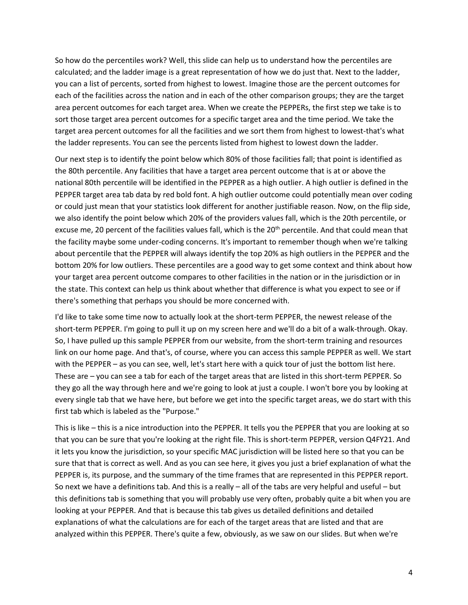So how do the percentiles work? Well, this slide can help us to understand how the percentiles are calculated; and the ladder image is a great representation of how we do just that. Next to the ladder, you can a list of percents, sorted from highest to lowest. Imagine those are the percent outcomes for each of the facilities across the nation and in each of the other comparison groups; they are the target area percent outcomes for each target area. When we create the PEPPERs, the first step we take is to sort those target area percent outcomes for a specific target area and the time period. We take the target area percent outcomes for all the facilities and we sort them from highest to lowest-that's what the ladder represents. You can see the percents listed from highest to lowest down the ladder.

Our next step is to identify the point below which 80% of those facilities fall; that point is identified as the 80th percentile. Any facilities that have a target area percent outcome that is at or above the national 80th percentile will be identified in the PEPPER as a high outlier. A high outlier is defined in the PEPPER target area tab data by red bold font. A high outlier outcome could potentially mean over coding or could just mean that your statistics look different for another justifiable reason. Now, on the flip side, we also identify the point below which 20% of the providers values fall, which is the 20th percentile, or excuse me, 20 percent of the facilities values fall, which is the 20<sup>th</sup> percentile. And that could mean that the facility maybe some under-coding concerns. It's important to remember though when we're talking about percentile that the PEPPER will always identify the top 20% as high outliers in the PEPPER and the bottom 20% for low outliers. These percentiles are a good way to get some context and think about how your target area percent outcome compares to other facilities in the nation or in the jurisdiction or in the state. This context can help us think about whether that difference is what you expect to see or if there's something that perhaps you should be more concerned with.

I'd like to take some time now to actually look at the short-term PEPPER, the newest release of the short-term PEPPER. I'm going to pull it up on my screen here and we'll do a bit of a walk-through. Okay. So, I have pulled up this sample PEPPER from our website, from the short-term training and resources link on our home page. And that's, of course, where you can access this sample PEPPER as well. We start with the PEPPER – as you can see, well, let's start here with a quick tour of just the bottom list here. These are – you can see a tab for each of the target areas that are listed in this short-term PEPPER. So they go all the way through here and we're going to look at just a couple. I won't bore you by looking at every single tab that we have here, but before we get into the specific target areas, we do start with this first tab which is labeled as the "Purpose."

This is like – this is a nice introduction into the PEPPER. It tells you the PEPPER that you are looking at so that you can be sure that you're looking at the right file. This is short-term PEPPER, version Q4FY21. And it lets you know the jurisdiction, so your specific MAC jurisdiction will be listed here so that you can be sure that that is correct as well. And as you can see here, it gives you just a brief explanation of what the PEPPER is, its purpose, and the summary of the time frames that are represented in this PEPPER report. So next we have a definitions tab. And this is a really – all of the tabs are very helpful and useful – but this definitions tab is something that you will probably use very often, probably quite a bit when you are looking at your PEPPER. And that is because this tab gives us detailed definitions and detailed explanations of what the calculations are for each of the target areas that are listed and that are analyzed within this PEPPER. There's quite a few, obviously, as we saw on our slides. But when we're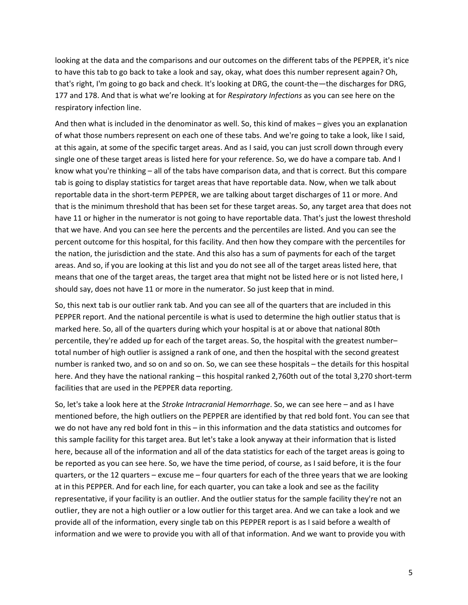looking at the data and the comparisons and our outcomes on the different tabs of the PEPPER, it's nice to have this tab to go back to take a look and say, okay, what does this number represent again? Oh, that's right, I'm going to go back and check. It's looking at DRG, the count-the—the discharges for DRG, 177 and 178. And that is what we're looking at for *Respiratory Infections* as you can see here on the respiratory infection line.

And then what is included in the denominator as well. So, this kind of makes – gives you an explanation of what those numbers represent on each one of these tabs. And we're going to take a look, like I said, at this again, at some of the specific target areas. And as I said, you can just scroll down through every single one of these target areas is listed here for your reference. So, we do have a compare tab. And I know what you're thinking – all of the tabs have comparison data, and that is correct. But this compare tab is going to display statistics for target areas that have reportable data. Now, when we talk about reportable data in the short-term PEPPER, we are talking about target discharges of 11 or more. And that is the minimum threshold that has been set for these target areas. So, any target area that does not have 11 or higher in the numerator is not going to have reportable data. That's just the lowest threshold that we have. And you can see here the percents and the percentiles are listed. And you can see the percent outcome for this hospital, for this facility. And then how they compare with the percentiles for the nation, the jurisdiction and the state. And this also has a sum of payments for each of the target areas. And so, if you are looking at this list and you do not see all of the target areas listed here, that means that one of the target areas, the target area that might not be listed here or is not listed here, I should say, does not have 11 or more in the numerator. So just keep that in mind.

So, this next tab is our outlier rank tab. And you can see all of the quarters that are included in this PEPPER report. And the national percentile is what is used to determine the high outlier status that is marked here. So, all of the quarters during which your hospital is at or above that national 80th percentile, they're added up for each of the target areas. So, the hospital with the greatest number– total number of high outlier is assigned a rank of one, and then the hospital with the second greatest number is ranked two, and so on and so on. So, we can see these hospitals – the details for this hospital here. And they have the national ranking – this hospital ranked 2,760th out of the total 3,270 short-term facilities that are used in the PEPPER data reporting.

So, let's take a look here at the *Stroke Intracranial Hemorrhage*. So, we can see here – and as I have mentioned before, the high outliers on the PEPPER are identified by that red bold font. You can see that we do not have any red bold font in this – in this information and the data statistics and outcomes for this sample facility for this target area. But let's take a look anyway at their information that is listed here, because all of the information and all of the data statistics for each of the target areas is going to be reported as you can see here. So, we have the time period, of course, as I said before, it is the four quarters, or the 12 quarters – excuse me – four quarters for each of the three years that we are looking at in this PEPPER. And for each line, for each quarter, you can take a look and see as the facility representative, if your facility is an outlier. And the outlier status for the sample facility they're not an outlier, they are not a high outlier or a low outlier for this target area. And we can take a look and we provide all of the information, every single tab on this PEPPER report is as I said before a wealth of information and we were to provide you with all of that information. And we want to provide you with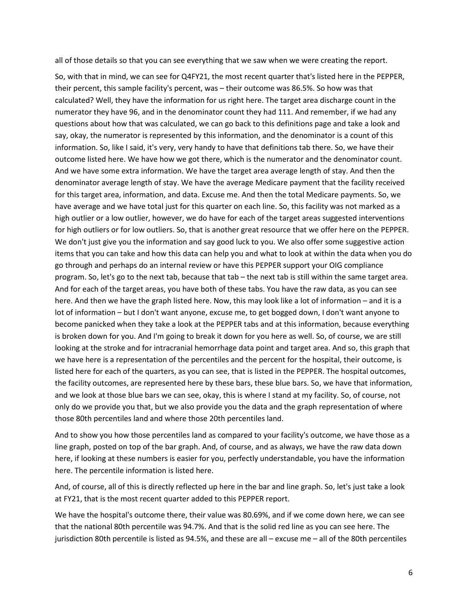all of those details so that you can see everything that we saw when we were creating the report.

So, with that in mind, we can see for Q4FY21, the most recent quarter that's listed here in the PEPPER, their percent, this sample facility's percent, was – their outcome was 86.5%. So how was that calculated? Well, they have the information for us right here. The target area discharge count in the numerator they have 96, and in the denominator count they had 111. And remember, if we had any questions about how that was calculated, we can go back to this definitions page and take a look and say, okay, the numerator is represented by this information, and the denominator is a count of this information. So, like I said, it's very, very handy to have that definitions tab there. So, we have their outcome listed here. We have how we got there, which is the numerator and the denominator count. And we have some extra information. We have the target area average length of stay. And then the denominator average length of stay. We have the average Medicare payment that the facility received for this target area, information, and data. Excuse me. And then the total Medicare payments. So, we have average and we have total just for this quarter on each line. So, this facility was not marked as a high outlier or a low outlier, however, we do have for each of the target areas suggested interventions for high outliers or for low outliers. So, that is another great resource that we offer here on the PEPPER. We don't just give you the information and say good luck to you. We also offer some suggestive action items that you can take and how this data can help you and what to look at within the data when you do go through and perhaps do an internal review or have this PEPPER support your OIG compliance program. So, let's go to the next tab, because that tab – the next tab is still within the same target area. And for each of the target areas, you have both of these tabs. You have the raw data, as you can see here. And then we have the graph listed here. Now, this may look like a lot of information – and it is a lot of information – but I don't want anyone, excuse me, to get bogged down, I don't want anyone to become panicked when they take a look at the PEPPER tabs and at this information, because everything is broken down for you. And I'm going to break it down for you here as well. So, of course, we are still looking at the stroke and for intracranial hemorrhage data point and target area. And so, this graph that we have here is a representation of the percentiles and the percent for the hospital, their outcome, is listed here for each of the quarters, as you can see, that is listed in the PEPPER. The hospital outcomes, the facility outcomes, are represented here by these bars, these blue bars. So, we have that information, and we look at those blue bars we can see, okay, this is where I stand at my facility. So, of course, not only do we provide you that, but we also provide you the data and the graph representation of where those 80th percentiles land and where those 20th percentiles land.

And to show you how those percentiles land as compared to your facility's outcome, we have those as a line graph, posted on top of the bar graph. And, of course, and as always, we have the raw data down here, if looking at these numbers is easier for you, perfectly understandable, you have the information here. The percentile information is listed here.

And, of course, all of this is directly reflected up here in the bar and line graph. So, let's just take a look at FY21, that is the most recent quarter added to this PEPPER report.

We have the hospital's outcome there, their value was 80.69%, and if we come down here, we can see that the national 80th percentile was 94.7%. And that is the solid red line as you can see here. The jurisdiction 80th percentile is listed as 94.5%, and these are all – excuse me – all of the 80th percentiles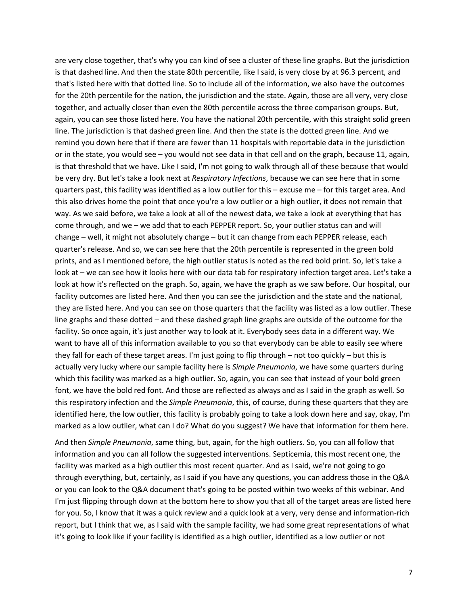are very close together, that's why you can kind of see a cluster of these line graphs. But the jurisdiction is that dashed line. And then the state 80th percentile, like I said, is very close by at 96.3 percent, and that's listed here with that dotted line. So to include all of the information, we also have the outcomes for the 20th percentile for the nation, the jurisdiction and the state. Again, those are all very, very close together, and actually closer than even the 80th percentile across the three comparison groups. But, again, you can see those listed here. You have the national 20th percentile, with this straight solid green line. The jurisdiction is that dashed green line. And then the state is the dotted green line. And we remind you down here that if there are fewer than 11 hospitals with reportable data in the jurisdiction or in the state, you would see – you would not see data in that cell and on the graph, because 11, again, is that threshold that we have. Like I said, I'm not going to walk through all of these because that would be very dry. But let's take a look next at *Respiratory Infections*, because we can see here that in some quarters past, this facility was identified as a low outlier for this – excuse me – for this target area. And this also drives home the point that once you're a low outlier or a high outlier, it does not remain that way. As we said before, we take a look at all of the newest data, we take a look at everything that has come through, and we – we add that to each PEPPER report. So, your outlier status can and will change – well, it might not absolutely change – but it can change from each PEPPER release, each quarter's release. And so, we can see here that the 20th percentile is represented in the green bold prints, and as I mentioned before, the high outlier status is noted as the red bold print. So, let's take a look at – we can see how it looks here with our data tab for respiratory infection target area. Let's take a look at how it's reflected on the graph. So, again, we have the graph as we saw before. Our hospital, our facility outcomes are listed here. And then you can see the jurisdiction and the state and the national, they are listed here. And you can see on those quarters that the facility was listed as a low outlier. These line graphs and these dotted – and these dashed graph line graphs are outside of the outcome for the facility. So once again, it's just another way to look at it. Everybody sees data in a different way. We want to have all of this information available to you so that everybody can be able to easily see where they fall for each of these target areas. I'm just going to flip through – not too quickly – but this is actually very lucky where our sample facility here is *Simple Pneumonia*, we have some quarters during which this facility was marked as a high outlier. So, again, you can see that instead of your bold green font, we have the bold red font. And those are reflected as always and as I said in the graph as well. So this respiratory infection and the *Simple Pneumonia*, this, of course, during these quarters that they are identified here, the low outlier, this facility is probably going to take a look down here and say, okay, I'm marked as a low outlier, what can I do? What do you suggest? We have that information for them here.

And then *Simple Pneumonia*, same thing, but, again, for the high outliers. So, you can all follow that information and you can all follow the suggested interventions. Septicemia, this most recent one, the facility was marked as a high outlier this most recent quarter. And as I said, we're not going to go through everything, but, certainly, as I said if you have any questions, you can address those in the Q&A or you can look to the Q&A document that's going to be posted within two weeks of this webinar. And I'm just flipping through down at the bottom here to show you that all of the target areas are listed here for you. So, I know that it was a quick review and a quick look at a very, very dense and information-rich report, but I think that we, as I said with the sample facility, we had some great representations of what it's going to look like if your facility is identified as a high outlier, identified as a low outlier or not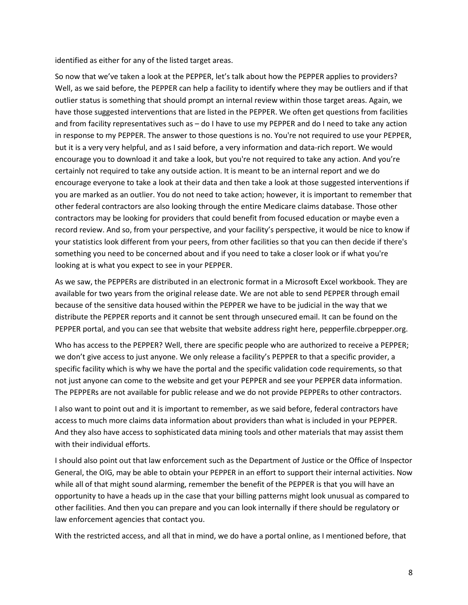identified as either for any of the listed target areas.

So now that we've taken a look at the PEPPER, let's talk about how the PEPPER applies to providers? Well, as we said before, the PEPPER can help a facility to identify where they may be outliers and if that outlier status is something that should prompt an internal review within those target areas. Again, we have those suggested interventions that are listed in the PEPPER. We often get questions from facilities and from facility representatives such as – do I have to use my PEPPER and do I need to take any action in response to my PEPPER. The answer to those questions is no. You're not required to use your PEPPER, but it is a very very helpful, and as I said before, a very information and data-rich report. We would encourage you to download it and take a look, but you're not required to take any action. And you're certainly not required to take any outside action. It is meant to be an internal report and we do encourage everyone to take a look at their data and then take a look at those suggested interventions if you are marked as an outlier. You do not need to take action; however, it is important to remember that other federal contractors are also looking through the entire Medicare claims database. Those other contractors may be looking for providers that could benefit from focused education or maybe even a record review. And so, from your perspective, and your facility's perspective, it would be nice to know if your statistics look different from your peers, from other facilities so that you can then decide if there's something you need to be concerned about and if you need to take a closer look or if what you're looking at is what you expect to see in your PEPPER.

As we saw, the PEPPERs are distributed in an electronic format in a Microsoft Excel workbook. They are available for two years from the original release date. We are not able to send PEPPER through email because of the sensitive data housed within the PEPPER we have to be judicial in the way that we distribute the PEPPER reports and it cannot be sent through unsecured email. It can be found on the PEPPER portal, and you can see that website that website address right here, pepperfile.cbrpepper.org.

Who has access to the PEPPER? Well, there are specific people who are authorized to receive a PEPPER; we don't give access to just anyone. We only release a facility's PEPPER to that a specific provider, a specific facility which is why we have the portal and the specific validation code requirements, so that not just anyone can come to the website and get your PEPPER and see your PEPPER data information. The PEPPERs are not available for public release and we do not provide PEPPERs to other contractors.

I also want to point out and it is important to remember, as we said before, federal contractors have access to much more claims data information about providers than what is included in your PEPPER. And they also have access to sophisticated data mining tools and other materials that may assist them with their individual efforts.

I should also point out that law enforcement such as the Department of Justice or the Office of Inspector General, the OIG, may be able to obtain your PEPPER in an effort to support their internal activities. Now while all of that might sound alarming, remember the benefit of the PEPPER is that you will have an opportunity to have a heads up in the case that your billing patterns might look unusual as compared to other facilities. And then you can prepare and you can look internally if there should be regulatory or law enforcement agencies that contact you.

With the restricted access, and all that in mind, we do have a portal online, as I mentioned before, that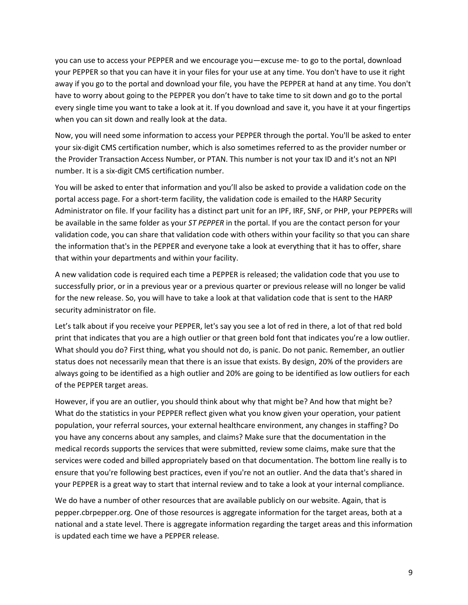you can use to access your PEPPER and we encourage you—excuse me- to go to the portal, download your PEPPER so that you can have it in your files for your use at any time. You don't have to use it right away if you go to the portal and download your file, you have the PEPPER at hand at any time. You don't have to worry about going to the PEPPER you don't have to take time to sit down and go to the portal every single time you want to take a look at it. If you download and save it, you have it at your fingertips when you can sit down and really look at the data.

Now, you will need some information to access your PEPPER through the portal. You'll be asked to enter your six-digit CMS certification number, which is also sometimes referred to as the provider number or the Provider Transaction Access Number, or PTAN. This number is not your tax ID and it's not an NPI number. It is a six-digit CMS certification number.

You will be asked to enter that information and you'll also be asked to provide a validation code on the portal access page. For a short-term facility, the validation code is emailed to the HARP Security Administrator on file. If your facility has a distinct part unit for an IPF, IRF, SNF, or PHP, your PEPPERs will be available in the same folder as your *ST PEPPER* in the portal. If you are the contact person for your validation code, you can share that validation code with others within your facility so that you can share the information that's in the PEPPER and everyone take a look at everything that it has to offer, share that within your departments and within your facility.

A new validation code is required each time a PEPPER is released; the validation code that you use to successfully prior, or in a previous year or a previous quarter or previous release will no longer be valid for the new release. So, you will have to take a look at that validation code that is sent to the HARP security administrator on file.

Let's talk about if you receive your PEPPER, let's say you see a lot of red in there, a lot of that red bold print that indicates that you are a high outlier or that green bold font that indicates you're a low outlier. What should you do? First thing, what you should not do, is panic. Do not panic. Remember, an outlier status does not necessarily mean that there is an issue that exists. By design, 20% of the providers are always going to be identified as a high outlier and 20% are going to be identified as low outliers for each of the PEPPER target areas.

However, if you are an outlier, you should think about why that might be? And how that might be? What do the statistics in your PEPPER reflect given what you know given your operation, your patient population, your referral sources, your external healthcare environment, any changes in staffing? Do you have any concerns about any samples, and claims? Make sure that the documentation in the medical records supports the services that were submitted, review some claims, make sure that the services were coded and billed appropriately based on that documentation. The bottom line really is to ensure that you're following best practices, even if you're not an outlier. And the data that's shared in your PEPPER is a great way to start that internal review and to take a look at your internal compliance.

We do have a number of other resources that are available publicly on our website. Again, that is pepper.cbrpepper.org. One of those resources is aggregate information for the target areas, both at a national and a state level. There is aggregate information regarding the target areas and this information is updated each time we have a PEPPER release.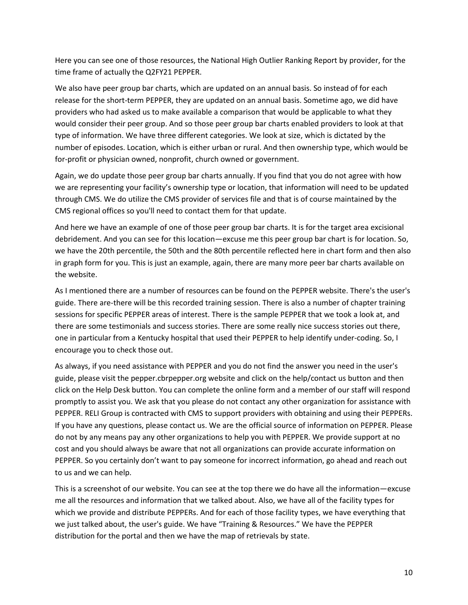Here you can see one of those resources, the National High Outlier Ranking Report by provider, for the time frame of actually the Q2FY21 PEPPER.

We also have peer group bar charts, which are updated on an annual basis. So instead of for each release for the short-term PEPPER, they are updated on an annual basis. Sometime ago, we did have providers who had asked us to make available a comparison that would be applicable to what they would consider their peer group. And so those peer group bar charts enabled providers to look at that type of information. We have three different categories. We look at size, which is dictated by the number of episodes. Location, which is either urban or rural. And then ownership type, which would be for-profit or physician owned, nonprofit, church owned or government.

Again, we do update those peer group bar charts annually. If you find that you do not agree with how we are representing your facility's ownership type or location, that information will need to be updated through CMS. We do utilize the CMS provider of services file and that is of course maintained by the CMS regional offices so you'll need to contact them for that update.

And here we have an example of one of those peer group bar charts. It is for the target area excisional debridement. And you can see for this location—excuse me this peer group bar chart is for location. So, we have the 20th percentile, the 50th and the 80th percentile reflected here in chart form and then also in graph form for you. This is just an example, again, there are many more peer bar charts available on the website.

As I mentioned there are a number of resources can be found on the PEPPER website. There's the user's guide. There are-there will be this recorded training session. There is also a number of chapter training sessions for specific PEPPER areas of interest. There is the sample PEPPER that we took a look at, and there are some testimonials and success stories. There are some really nice success stories out there, one in particular from a Kentucky hospital that used their PEPPER to help identify under-coding. So, I encourage you to check those out.

As always, if you need assistance with PEPPER and you do not find the answer you need in the user's guide, please visit the pepper.cbrpepper.org website and click on the help/contact us button and then click on the Help Desk button. You can complete the online form and a member of our staff will respond promptly to assist you. We ask that you please do not contact any other organization for assistance with PEPPER. RELI Group is contracted with CMS to support providers with obtaining and using their PEPPERs. If you have any questions, please contact us. We are the official source of information on PEPPER. Please do not by any means pay any other organizations to help you with PEPPER. We provide support at no cost and you should always be aware that not all organizations can provide accurate information on PEPPER. So you certainly don't want to pay someone for incorrect information, go ahead and reach out to us and we can help.

This is a screenshot of our website. You can see at the top there we do have all the information—excuse me all the resources and information that we talked about. Also, we have all of the facility types for which we provide and distribute PEPPERs. And for each of those facility types, we have everything that we just talked about, the user's guide. We have "Training & Resources." We have the PEPPER distribution for the portal and then we have the map of retrievals by state.